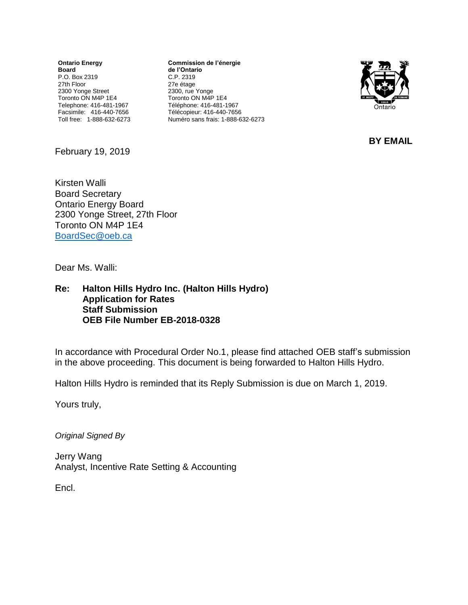**Ontario Energy Board** P.O. Box 2319 27th Floor 2300 Yonge Street Toronto ON M4P 1E4 Telephone: 416-481-1967 Facsimile: 416-440-7656 Toll free: 1-888-632-6273

**Commission de l'énergie de l'Ontario** C.P. 2319 27e étage 2300, rue Yonge Toronto ON M4P 1E4 Téléphone: 416-481-1967 Télécopieur: 416-440-7656 Numéro sans frais: 1-888-632-6273



**BY EMAIL**

February 19, 2019

Kirsten Walli Board Secretary Ontario Energy Board 2300 Yonge Street, 27th Floor Toronto ON M4P 1E4 [BoardSec@oeb.ca](mailto:BoardSec@oeb.ca)

Dear Ms. Walli:

#### **Re: Halton Hills Hydro Inc. (Halton Hills Hydro) Application for Rates Staff Submission OEB File Number EB-2018-0328**

In accordance with Procedural Order No.1, please find attached OEB staff's submission in the above proceeding. This document is being forwarded to Halton Hills Hydro.

Halton Hills Hydro is reminded that its Reply Submission is due on March 1, 2019.

Yours truly,

*Original Signed By*

Jerry Wang Analyst, Incentive Rate Setting & Accounting

Encl.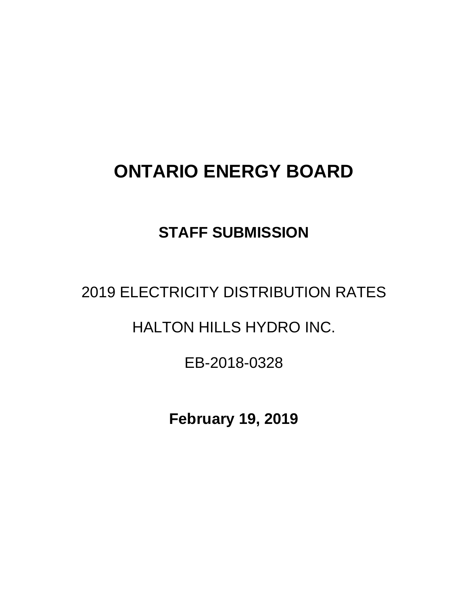# **ONTARIO ENERGY BOARD**

### **STAFF SUBMISSION**

## 2019 ELECTRICITY DISTRIBUTION RATES

### HALTON HILLS HYDRO INC.

### EB-2018-0328

**February 19, 2019**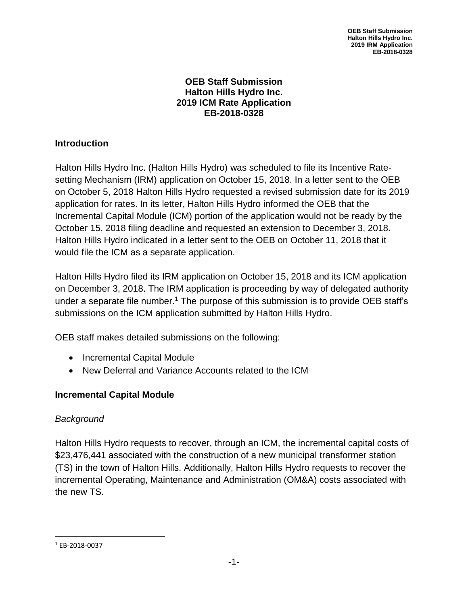**OEB Staff Submission Halton Hills Hydro Inc. 2019 IRM Application EB-2018-0328**

#### **OEB Staff Submission Halton Hills Hydro Inc. 2019 ICM Rate Application EB-2018-0328**

#### **Introduction**

Halton Hills Hydro Inc. (Halton Hills Hydro) was scheduled to file its Incentive Ratesetting Mechanism (IRM) application on October 15, 2018. In a letter sent to the OEB on October 5, 2018 Halton Hills Hydro requested a revised submission date for its 2019 application for rates. In its letter, Halton Hills Hydro informed the OEB that the Incremental Capital Module (ICM) portion of the application would not be ready by the October 15, 2018 filing deadline and requested an extension to December 3, 2018. Halton Hills Hydro indicated in a letter sent to the OEB on October 11, 2018 that it would file the ICM as a separate application.

Halton Hills Hydro filed its IRM application on October 15, 2018 and its ICM application on December 3, 2018. The IRM application is proceeding by way of delegated authority under a separate file number.<sup>1</sup> The purpose of this submission is to provide OEB staff's submissions on the ICM application submitted by Halton Hills Hydro.

OEB staff makes detailed submissions on the following:

- Incremental Capital Module
- New Deferral and Variance Accounts related to the ICM

#### **Incremental Capital Module**

#### *Background*

Halton Hills Hydro requests to recover, through an ICM, the incremental capital costs of \$23,476,441 associated with the construction of a new municipal transformer station (TS) in the town of Halton Hills. Additionally, Halton Hills Hydro requests to recover the incremental Operating, Maintenance and Administration (OM&A) costs associated with the new TS.

<sup>1</sup> EB-2018-0037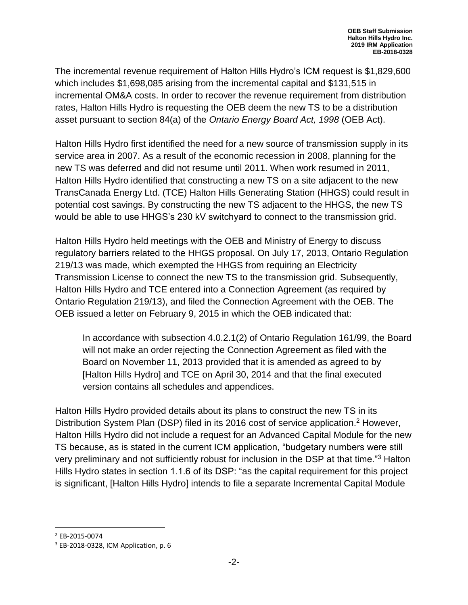The incremental revenue requirement of Halton Hills Hydro's ICM request is \$1,829,600 which includes \$1,698,085 arising from the incremental capital and \$131,515 in incremental OM&A costs. In order to recover the revenue requirement from distribution rates, Halton Hills Hydro is requesting the OEB deem the new TS to be a distribution asset pursuant to section 84(a) of the *Ontario Energy Board Act, 1998* (OEB Act).

Halton Hills Hydro first identified the need for a new source of transmission supply in its service area in 2007. As a result of the economic recession in 2008, planning for the new TS was deferred and did not resume until 2011. When work resumed in 2011, Halton Hills Hydro identified that constructing a new TS on a site adjacent to the new TransCanada Energy Ltd. (TCE) Halton Hills Generating Station (HHGS) could result in potential cost savings. By constructing the new TS adjacent to the HHGS, the new TS would be able to use HHGS's 230 kV switchyard to connect to the transmission grid.

Halton Hills Hydro held meetings with the OEB and Ministry of Energy to discuss regulatory barriers related to the HHGS proposal. On July 17, 2013, Ontario Regulation 219/13 was made, which exempted the HHGS from requiring an Electricity Transmission License to connect the new TS to the transmission grid. Subsequently, Halton Hills Hydro and TCE entered into a Connection Agreement (as required by Ontario Regulation 219/13), and filed the Connection Agreement with the OEB. The OEB issued a letter on February 9, 2015 in which the OEB indicated that:

In accordance with subsection 4.0.2.1(2) of Ontario Regulation 161/99, the Board will not make an order rejecting the Connection Agreement as filed with the Board on November 11, 2013 provided that it is amended as agreed to by [Halton Hills Hydro] and TCE on April 30, 2014 and that the final executed version contains all schedules and appendices.

Halton Hills Hydro provided details about its plans to construct the new TS in its Distribution System Plan (DSP) filed in its 2016 cost of service application.<sup>2</sup> However, Halton Hills Hydro did not include a request for an Advanced Capital Module for the new TS because, as is stated in the current ICM application, "budgetary numbers were still very preliminary and not sufficiently robust for inclusion in the DSP at that time."<sup>3</sup> Halton Hills Hydro states in section 1.1.6 of its DSP: "as the capital requirement for this project is significant, [Halton Hills Hydro] intends to file a separate Incremental Capital Module

<sup>2</sup> EB-2015-0074

<sup>3</sup> EB-2018-0328, ICM Application, p. 6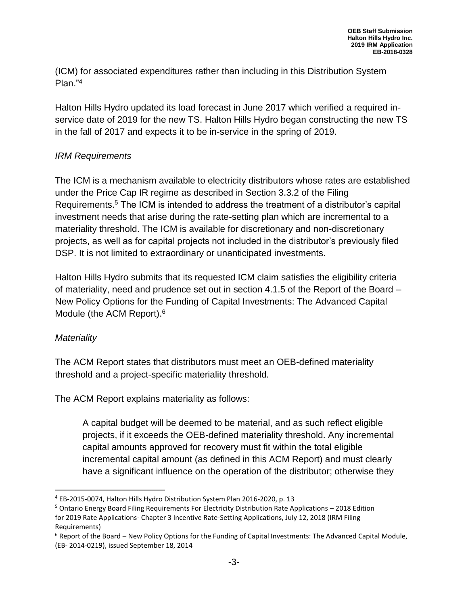(ICM) for associated expenditures rather than including in this Distribution System Plan."<sup>4</sup>

Halton Hills Hydro updated its load forecast in June 2017 which verified a required inservice date of 2019 for the new TS. Halton Hills Hydro began constructing the new TS in the fall of 2017 and expects it to be in-service in the spring of 2019.

#### *IRM Requirements*

The ICM is a mechanism available to electricity distributors whose rates are established under the Price Cap IR regime as described in Section 3.3.2 of the Filing Requirements.<sup>5</sup> The ICM is intended to address the treatment of a distributor's capital investment needs that arise during the rate-setting plan which are incremental to a materiality threshold. The ICM is available for discretionary and non-discretionary projects, as well as for capital projects not included in the distributor's previously filed DSP. It is not limited to extraordinary or unanticipated investments.

Halton Hills Hydro submits that its requested ICM claim satisfies the eligibility criteria of materiality, need and prudence set out in section 4.1.5 of the Report of the Board – New Policy Options for the Funding of Capital Investments: The Advanced Capital Module (the ACM Report). 6

#### *Materiality*

The ACM Report states that distributors must meet an OEB-defined materiality threshold and a project-specific materiality threshold.

The ACM Report explains materiality as follows:

A capital budget will be deemed to be material, and as such reflect eligible projects, if it exceeds the OEB-defined materiality threshold. Any incremental capital amounts approved for recovery must fit within the total eligible incremental capital amount (as defined in this ACM Report) and must clearly have a significant influence on the operation of the distributor; otherwise they

l <sup>4</sup> EB-2015-0074, Halton Hills Hydro Distribution System Plan 2016-2020, p. 13

<sup>5</sup> Ontario Energy Board Filing Requirements For Electricity Distribution Rate Applications – 2018 Edition for 2019 Rate Applications- Chapter 3 Incentive Rate-Setting Applications, July 12, 2018 (IRM Filing Requirements)

 $6$  Report of the Board – New Policy Options for the Funding of Capital Investments: The Advanced Capital Module, (EB- 2014-0219), issued September 18, 2014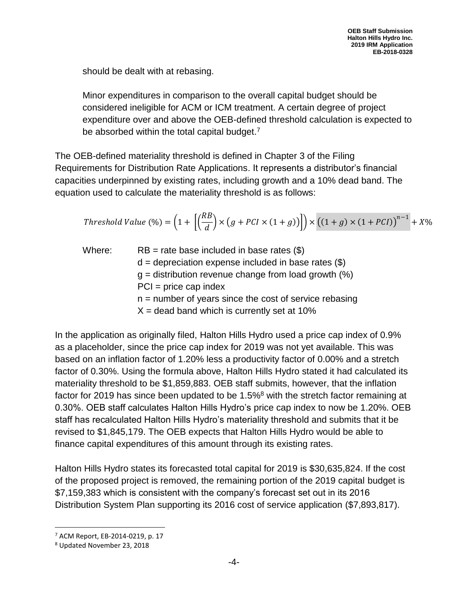should be dealt with at rebasing.

Minor expenditures in comparison to the overall capital budget should be considered ineligible for ACM or ICM treatment. A certain degree of project expenditure over and above the OEB-defined threshold calculation is expected to be absorbed within the total capital budget.<sup>7</sup>

The OEB-defined materiality threshold is defined in Chapter 3 of the Filing Requirements for Distribution Rate Applications. It represents a distributor's financial capacities underpinned by existing rates, including growth and a 10% dead band. The equation used to calculate the materiality threshold is as follows:

*Threshold Value* (%) = 
$$
\left(1 + \left[\left(\frac{RB}{d}\right) \times (g + PCI \times (1 + g))\right]\right) \times \left((1 + g) \times (1 + PCI)\right)^{n-1} + X\%
$$

Where: RB = rate base included in base rates  $(\$)$  $d =$  depreciation expense included in base rates  $(\$)$  $q =$  distribution revenue change from load growth  $(\%)$  $PCI = price cap index$  $n =$  number of years since the cost of service rebasing  $X =$  dead band which is currently set at 10%

In the application as originally filed, Halton Hills Hydro used a price cap index of 0.9% as a placeholder, since the price cap index for 2019 was not yet available. This was based on an inflation factor of 1.20% less a productivity factor of 0.00% and a stretch factor of 0.30%. Using the formula above, Halton Hills Hydro stated it had calculated its materiality threshold to be \$1,859,883. OEB staff submits, however, that the inflation factor for 2019 has since been updated to be 1.5%<sup>8</sup> with the stretch factor remaining at 0.30%. OEB staff calculates Halton Hills Hydro's price cap index to now be 1.20%. OEB staff has recalculated Halton Hills Hydro's materiality threshold and submits that it be revised to \$1,845,179. The OEB expects that Halton Hills Hydro would be able to finance capital expenditures of this amount through its existing rates.

Halton Hills Hydro states its forecasted total capital for 2019 is \$30,635,824. If the cost of the proposed project is removed, the remaining portion of the 2019 capital budget is \$7,159,383 which is consistent with the company's forecast set out in its 2016 Distribution System Plan supporting its 2016 cost of service application (\$7,893,817).

<sup>7</sup> ACM Report, EB-2014-0219, p. 17

<sup>8</sup> Updated November 23, 2018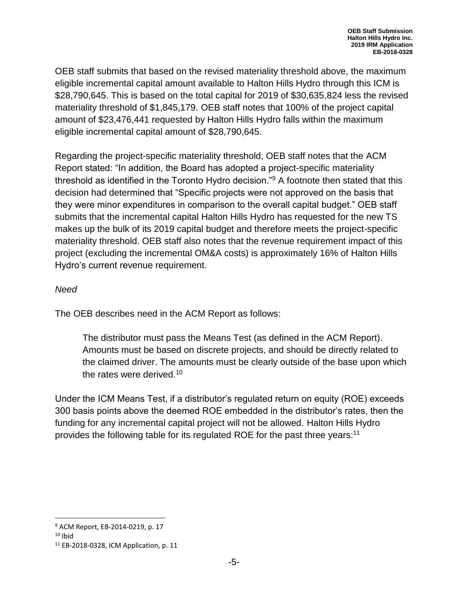OEB staff submits that based on the revised materiality threshold above, the maximum eligible incremental capital amount available to Halton Hills Hydro through this ICM is \$28,790,645. This is based on the total capital for 2019 of \$30,635,824 less the revised materiality threshold of \$1,845,179. OEB staff notes that 100% of the project capital amount of \$23,476,441 requested by Halton Hills Hydro falls within the maximum eligible incremental capital amount of \$28,790,645.

Regarding the project-specific materiality threshold, OEB staff notes that the ACM Report stated: "In addition, the Board has adopted a project-specific materiality threshold as identified in the Toronto Hydro decision."<sup>9</sup> A footnote then stated that this decision had determined that "Specific projects were not approved on the basis that they were minor expenditures in comparison to the overall capital budget." OEB staff submits that the incremental capital Halton Hills Hydro has requested for the new TS makes up the bulk of its 2019 capital budget and therefore meets the project-specific materiality threshold. OEB staff also notes that the revenue requirement impact of this project (excluding the incremental OM&A costs) is approximately 16% of Halton Hills Hydro's current revenue requirement.

#### *Need*

The OEB describes need in the ACM Report as follows:

The distributor must pass the Means Test (as defined in the ACM Report). Amounts must be based on discrete projects, and should be directly related to the claimed driver. The amounts must be clearly outside of the base upon which the rates were derived.<sup>10</sup>

Under the ICM Means Test, if a distributor's regulated return on equity (ROE) exceeds 300 basis points above the deemed ROE embedded in the distributor's rates, then the funding for any incremental capital project will not be allowed. Halton Hills Hydro provides the following table for its regulated ROE for the past three years:<sup>11</sup>

 $\overline{a}$ 

<sup>9</sup> ACM Report, EB-2014-0219, p. 17

 $10$  Ibid

<sup>11</sup> EB-2018-0328, ICM Application, p. 11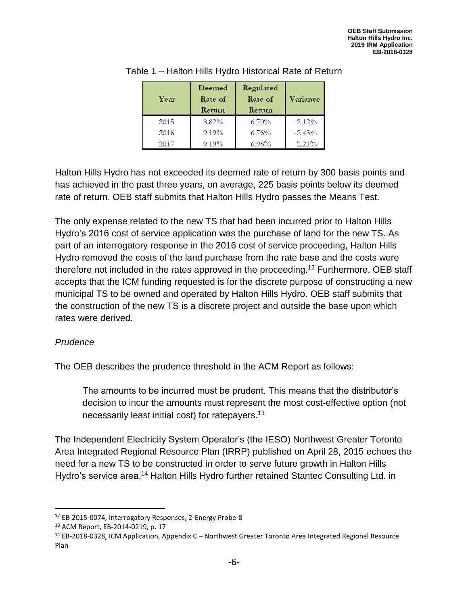| Year | Deemed<br>Rate of<br>Return | Regulated<br>Rate of<br>Return | Variance  |
|------|-----------------------------|--------------------------------|-----------|
| 2015 | 8.82%                       | $6.70\%$                       | $-2.12%$  |
| 2016 | 9.19%                       | 6.76%                          | $-2.43%$  |
| 2017 | $9.19\%$                    | 6.98%                          | $-2.21\%$ |

#### Table 1 – Halton Hills Hydro Historical Rate of Return

Halton Hills Hydro has not exceeded its deemed rate of return by 300 basis points and has achieved in the past three years, on average, 225 basis points below its deemed rate of return. OEB staff submits that Halton Hills Hydro passes the Means Test.

The only expense related to the new TS that had been incurred prior to Halton Hills Hydro's 2016 cost of service application was the purchase of land for the new TS. As part of an interrogatory response in the 2016 cost of service proceeding, Halton Hills Hydro removed the costs of the land purchase from the rate base and the costs were therefore not included in the rates approved in the proceeding.<sup>12</sup> Furthermore, OEB staff accepts that the ICM funding requested is for the discrete purpose of constructing a new municipal TS to be owned and operated by Halton Hills Hydro. OEB staff submits that the construction of the new TS is a discrete project and outside the base upon which rates were derived.

#### *Prudence*

l

The OEB describes the prudence threshold in the ACM Report as follows:

The amounts to be incurred must be prudent. This means that the distributor's decision to incur the amounts must represent the most cost-effective option (not necessarily least initial cost) for ratepayers.<sup>13</sup>

The Independent Electricity System Operator's (the IESO) Northwest Greater Toronto Area Integrated Regional Resource Plan (IRRP) published on April 28, 2015 echoes the need for a new TS to be constructed in order to serve future growth in Halton Hills Hydro's service area.<sup>14</sup> Halton Hills Hydro further retained Stantec Consulting Ltd. in

<sup>12</sup> EB-2015-0074, Interrogatory Responses, 2-Energy Probe-8

<sup>13</sup> ACM Report, EB-2014-0219, p. 17

<sup>14</sup> EB-2018-0328, ICM Application, Appendix C – Northwest Greater Toronto Area Integrated Regional Resource Plan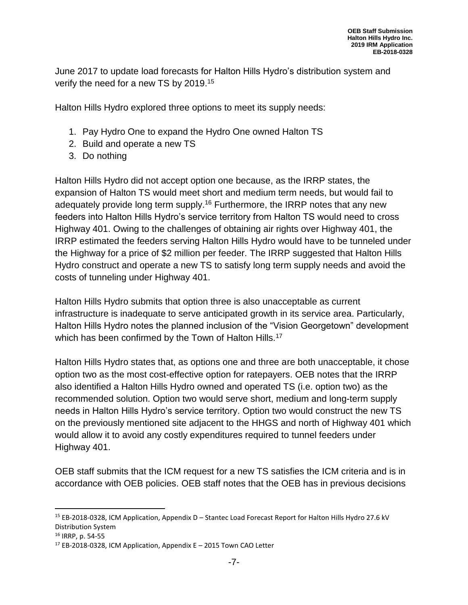June 2017 to update load forecasts for Halton Hills Hydro's distribution system and verify the need for a new TS by 2019.<sup>15</sup>

Halton Hills Hydro explored three options to meet its supply needs:

- 1. Pay Hydro One to expand the Hydro One owned Halton TS
- 2. Build and operate a new TS
- 3. Do nothing

Halton Hills Hydro did not accept option one because, as the IRRP states, the expansion of Halton TS would meet short and medium term needs, but would fail to adequately provide long term supply.<sup>16</sup> Furthermore, the IRRP notes that any new feeders into Halton Hills Hydro's service territory from Halton TS would need to cross Highway 401. Owing to the challenges of obtaining air rights over Highway 401, the IRRP estimated the feeders serving Halton Hills Hydro would have to be tunneled under the Highway for a price of \$2 million per feeder. The IRRP suggested that Halton Hills Hydro construct and operate a new TS to satisfy long term supply needs and avoid the costs of tunneling under Highway 401.

Halton Hills Hydro submits that option three is also unacceptable as current infrastructure is inadequate to serve anticipated growth in its service area. Particularly, Halton Hills Hydro notes the planned inclusion of the "Vision Georgetown" development which has been confirmed by the Town of Halton Hills.<sup>17</sup>

Halton Hills Hydro states that, as options one and three are both unacceptable, it chose option two as the most cost-effective option for ratepayers. OEB notes that the IRRP also identified a Halton Hills Hydro owned and operated TS (i.e. option two) as the recommended solution. Option two would serve short, medium and long-term supply needs in Halton Hills Hydro's service territory. Option two would construct the new TS on the previously mentioned site adjacent to the HHGS and north of Highway 401 which would allow it to avoid any costly expenditures required to tunnel feeders under Highway 401.

OEB staff submits that the ICM request for a new TS satisfies the ICM criteria and is in accordance with OEB policies. OEB staff notes that the OEB has in previous decisions

l

<sup>15</sup> EB-2018-0328, ICM Application, Appendix D – Stantec Load Forecast Report for Halton Hills Hydro 27.6 kV Distribution System

<sup>16</sup> IRRP, p. 54-55

<sup>17</sup> EB-2018-0328, ICM Application, Appendix E – 2015 Town CAO Letter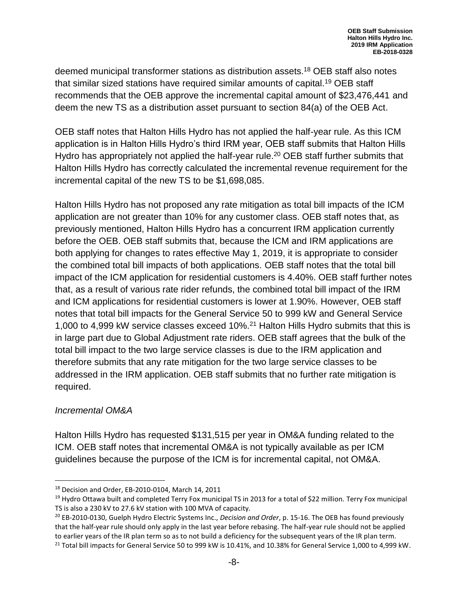deemed municipal transformer stations as distribution assets.<sup>18</sup> OEB staff also notes that similar sized stations have required similar amounts of capital.<sup>19</sup> OEB staff recommends that the OEB approve the incremental capital amount of \$23,476,441 and deem the new TS as a distribution asset pursuant to section 84(a) of the OEB Act.

OEB staff notes that Halton Hills Hydro has not applied the half-year rule. As this ICM application is in Halton Hills Hydro's third IRM year, OEB staff submits that Halton Hills Hydro has appropriately not applied the half-year rule.<sup>20</sup> OEB staff further submits that Halton Hills Hydro has correctly calculated the incremental revenue requirement for the incremental capital of the new TS to be \$1,698,085.

Halton Hills Hydro has not proposed any rate mitigation as total bill impacts of the ICM application are not greater than 10% for any customer class. OEB staff notes that, as previously mentioned, Halton Hills Hydro has a concurrent IRM application currently before the OEB. OEB staff submits that, because the ICM and IRM applications are both applying for changes to rates effective May 1, 2019, it is appropriate to consider the combined total bill impacts of both applications. OEB staff notes that the total bill impact of the ICM application for residential customers is 4.40%. OEB staff further notes that, as a result of various rate rider refunds, the combined total bill impact of the IRM and ICM applications for residential customers is lower at 1.90%. However, OEB staff notes that total bill impacts for the General Service 50 to 999 kW and General Service 1,000 to 4,999 kW service classes exceed 10%.<sup>21</sup> Halton Hills Hydro submits that this is in large part due to Global Adjustment rate riders. OEB staff agrees that the bulk of the total bill impact to the two large service classes is due to the IRM application and therefore submits that any rate mitigation for the two large service classes to be addressed in the IRM application. OEB staff submits that no further rate mitigation is required.

#### *Incremental OM&A*

 $\overline{\phantom{a}}$ 

Halton Hills Hydro has requested \$131,515 per year in OM&A funding related to the ICM. OEB staff notes that incremental OM&A is not typically available as per ICM guidelines because the purpose of the ICM is for incremental capital, not OM&A.

<sup>18</sup> Decision and Order, EB-2010-0104, March 14, 2011

<sup>&</sup>lt;sup>19</sup> Hydro Ottawa built and completed Terry Fox municipal TS in 2013 for a total of \$22 million. Terry Fox municipal TS is also a 230 kV to 27.6 kV station with 100 MVA of capacity.

<sup>20</sup> EB-2010-0130, Guelph Hydro Electric Systems Inc., *Decision and Order*, p. 15-16. The OEB has found previously that the half-year rule should only apply in the last year before rebasing. The half-year rule should not be applied to earlier years of the IR plan term so as to not build a deficiency for the subsequent years of the IR plan term.

<sup>&</sup>lt;sup>21</sup> Total bill impacts for General Service 50 to 999 kW is 10.41%, and 10.38% for General Service 1,000 to 4,999 kW.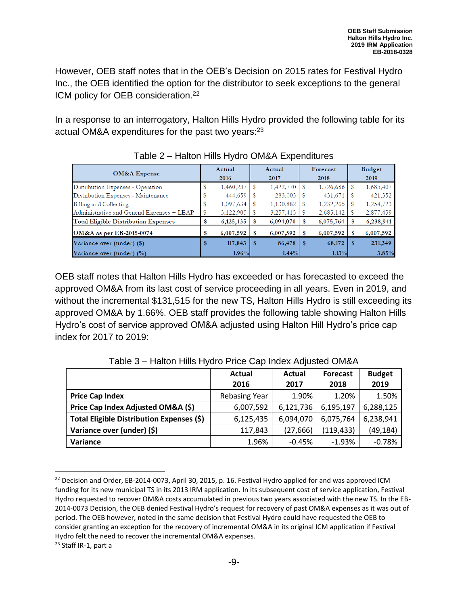However, OEB staff notes that in the OEB's Decision on 2015 rates for Festival Hydro Inc., the OEB identified the option for the distributor to seek exceptions to the general ICM policy for OEB consideration. 22

In a response to an interrogatory, Halton Hills Hydro provided the following table for its actual OM&A expenditures for the past two years:<sup>23</sup>

| OM&A Expense                               |     | Actual<br>2016 |    | Actual<br>2017 |      | Forecast<br>2018 | Budget<br>2019 |
|--------------------------------------------|-----|----------------|----|----------------|------|------------------|----------------|
| Distribution Expenses - Operation          |     | 1,460,237      |    | 1,422,770      |      | 1,726,686        | 1,685,407      |
| Distribution Expenses - Maintenance        |     | 444,659        |    | 283,003        |      | 431,671          | 421,352        |
| Billing and Collecting                     |     | 1,097,634      |    | 1,130,882      |      | 1,232,265        | 1,254,723      |
| Administrative and General Expenses + LEAP |     | 3,122,905      |    | 3,257,415      |      | 2,685,142        | 2,877,459      |
| Total Eligible Distribution Expenses       | \$  | 6,125,435      | \$ | 6,094,070      |      | 6,075,764        | 6,238,941      |
| <b>OM&amp;A</b> as per EB-2015-0074        |     | 6,007,592      | S  | 6,007,592      | S    | 6,007,592        | 6,007,592      |
| Variance over (under) (\$)                 | \$. | 117,843        | \$ | 86,478         | - \$ | 68,172           | 231,349        |
| Variance over (under) $(\%)$               |     | 1.96%          |    | $1.44\%$       |      | $1.13\%$         | 3.85%          |

Table 2 – Halton Hills Hydro OM&A Expenditures

OEB staff notes that Halton Hills Hydro has exceeded or has forecasted to exceed the approved OM&A from its last cost of service proceeding in all years. Even in 2019, and without the incremental \$131,515 for the new TS, Halton Hills Hydro is still exceeding its approved OM&A by 1.66%. OEB staff provides the following table showing Halton Hills Hydro's cost of service approved OM&A adjusted using Halton Hill Hydro's price cap index for 2017 to 2019:

|                                           | Actual<br>2016       | Actual<br>2017 | <b>Forecast</b><br>2018 | <b>Budget</b><br>2019 |
|-------------------------------------------|----------------------|----------------|-------------------------|-----------------------|
|                                           |                      |                |                         |                       |
| <b>Price Cap Index</b>                    | <b>Rebasing Year</b> | 1.90%          | 1.20%                   | 1.50%                 |
| Price Cap Index Adjusted OM&A (\$)        | 6,007,592            | 6,121,736      | 6,195,197               | 6,288,125             |
| Total Eligible Distribution Expenses (\$) | 6,125,435            | 6,094,070      | 6,075,764               | 6,238,941             |
| Variance over (under) (\$)                | 117,843              | (27, 666)      | (119, 433)              | (49, 184)             |
| Variance                                  | 1.96%                | $-0.45%$       | $-1.93%$                | $-0.78%$              |

Table 3 – Halton Hills Hydro Price Cap Index Adjusted OM&A

<sup>23</sup> Staff IR-1, part a

 $\overline{a}$ 

<sup>&</sup>lt;sup>22</sup> Decision and Order, EB-2014-0073, April 30, 2015, p. 16. Festival Hydro applied for and was approved ICM funding for its new municipal TS in its 2013 IRM application. In its subsequent cost of service application, Festival Hydro requested to recover OM&A costs accumulated in previous two years associated with the new TS. In the EB-2014-0073 Decision, the OEB denied Festival Hydro's request for recovery of past OM&A expenses as it was out of period. The OEB however, noted in the same decision that Festival Hydro could have requested the OEB to consider granting an exception for the recovery of incremental OM&A in its original ICM application if Festival Hydro felt the need to recover the incremental OM&A expenses.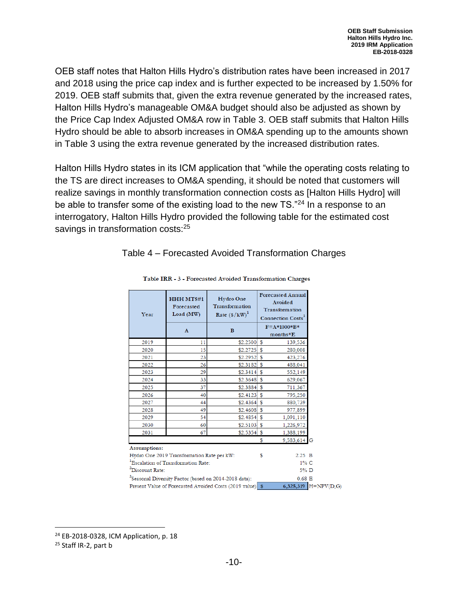OEB staff notes that Halton Hills Hydro's distribution rates have been increased in 2017 and 2018 using the price cap index and is further expected to be increased by 1.50% for 2019. OEB staff submits that, given the extra revenue generated by the increased rates, Halton Hills Hydro's manageable OM&A budget should also be adjusted as shown by the Price Cap Index Adjusted OM&A row in Table 3. OEB staff submits that Halton Hills Hydro should be able to absorb increases in OM&A spending up to the amounts shown in Table 3 using the extra revenue generated by the increased distribution rates.

Halton Hills Hydro states in its ICM application that "while the operating costs relating to the TS are direct increases to OM&A spending, it should be noted that customers will realize savings in monthly transformation connection costs as [Halton Hills Hydro] will be able to transfer some of the existing load to the new TS."<sup>24</sup> In a response to an interrogatory, Halton Hills Hydro provided the following table for the estimated cost savings in transformation costs:<sup>25</sup>

#### Table 4 – Forecasted Avoided Transformation Charges

| Year                        | HHH MTS#1<br>Forecasted<br>Load $(MW)$          | <b>Hydro One</b><br>Transformation<br>Rate $(\frac{1}{8} / kW)^1$ |                                  | <b>Forecasted Annual</b><br>Avoided<br>Transformation<br>Connection Costs <sup>3</sup> |  |
|-----------------------------|-------------------------------------------------|-------------------------------------------------------------------|----------------------------------|----------------------------------------------------------------------------------------|--|
|                             | $\mathbf{A}$                                    | $\bf{B}$                                                          | $F = A * 1000 * B *$<br>months*E |                                                                                        |  |
| 2019                        | 11                                              | $$2.2500$ \$                                                      |                                  | 139,536                                                                                |  |
| 2020                        | 15                                              | $$2.2725$ \$                                                      |                                  | 280,008                                                                                |  |
| 2021                        | 23                                              | $$2.2952$ \$                                                      |                                  | 423,276                                                                                |  |
| 2022                        | 26                                              | $$2.3182$ \$                                                      |                                  | 488,041                                                                                |  |
| 2023                        | 29                                              | $$2.3414$ \$                                                      |                                  | 552,149                                                                                |  |
| 2024                        | 33                                              | $$2.3648$ \$                                                      |                                  | 629,067                                                                                |  |
| 2025                        | 37                                              | $$2.3884$ \$                                                      |                                  | 711,367                                                                                |  |
| 2026                        | 40                                              | $$2.4123$ \ \$                                                    |                                  | 795,250                                                                                |  |
| 2027                        | 44                                              | $$2.4364$ \$                                                      |                                  | 880,739                                                                                |  |
| 2028                        | 49                                              | $$2.4608$ \$                                                      |                                  | 977,899                                                                                |  |
| 2029                        | 54                                              | $$2.4854$ \$                                                      |                                  | 1,091,110                                                                              |  |
| 2030                        | 60                                              | $$2.5103$ \$                                                      |                                  | 1,226,972                                                                              |  |
| 2031                        | 67                                              | $$2.5354$ \$                                                      |                                  | 1,388,199                                                                              |  |
|                             |                                                 |                                                                   | \$                               | 9,583,614                                                                              |  |
| Assumptions:                | Hydro One 2019 Transformation Rate per kW:      |                                                                   | \$                               | $2.25$ B                                                                               |  |
|                             | <sup>1</sup> Escalation of Transformation Rate: |                                                                   |                                  | $1\%$ C                                                                                |  |
| <sup>2</sup> Discount Rate: |                                                 |                                                                   |                                  | 5% D                                                                                   |  |
|                             |                                                 | <sup>3</sup> Seasonal Diversity Factor (based on 2014-2018 data): |                                  | 0.68 E                                                                                 |  |
|                             |                                                 | Present Value of Forecasted Avoided Costs (2019 value) \$         |                                  | 6,325,319 $H = NPV(D, G)$                                                              |  |

#### Table IRR - 3 - Forecasted Avoided Transformation Charges

<sup>24</sup> EB-2018-0328, ICM Application, p. 18

<sup>25</sup> Staff IR-2, part b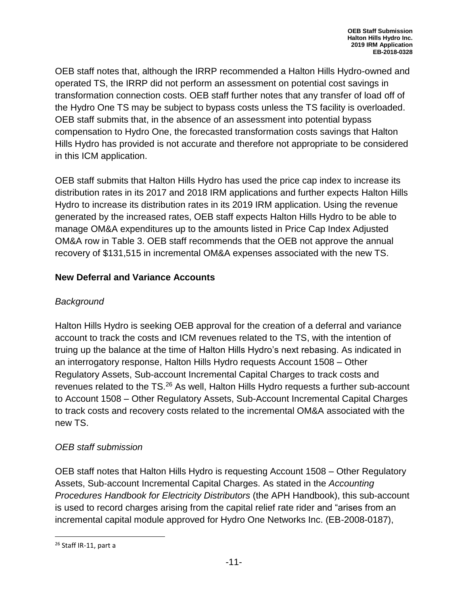OEB staff notes that, although the IRRP recommended a Halton Hills Hydro-owned and operated TS, the IRRP did not perform an assessment on potential cost savings in transformation connection costs. OEB staff further notes that any transfer of load off of the Hydro One TS may be subject to bypass costs unless the TS facility is overloaded. OEB staff submits that, in the absence of an assessment into potential bypass compensation to Hydro One, the forecasted transformation costs savings that Halton Hills Hydro has provided is not accurate and therefore not appropriate to be considered in this ICM application.

OEB staff submits that Halton Hills Hydro has used the price cap index to increase its distribution rates in its 2017 and 2018 IRM applications and further expects Halton Hills Hydro to increase its distribution rates in its 2019 IRM application. Using the revenue generated by the increased rates, OEB staff expects Halton Hills Hydro to be able to manage OM&A expenditures up to the amounts listed in Price Cap Index Adjusted OM&A row in Table 3. OEB staff recommends that the OEB not approve the annual recovery of \$131,515 in incremental OM&A expenses associated with the new TS.

#### **New Deferral and Variance Accounts**

#### *Background*

Halton Hills Hydro is seeking OEB approval for the creation of a deferral and variance account to track the costs and ICM revenues related to the TS, with the intention of truing up the balance at the time of Halton Hills Hydro's next rebasing. As indicated in an interrogatory response, Halton Hills Hydro requests Account 1508 – Other Regulatory Assets, Sub-account Incremental Capital Charges to track costs and revenues related to the TS.<sup>26</sup> As well, Halton Hills Hydro requests a further sub-account to Account 1508 – Other Regulatory Assets, Sub-Account Incremental Capital Charges to track costs and recovery costs related to the incremental OM&A associated with the new TS.

### *OEB staff submission*

OEB staff notes that Halton Hills Hydro is requesting Account 1508 – Other Regulatory Assets, Sub-account Incremental Capital Charges. As stated in the *Accounting Procedures Handbook for Electricity Distributors* (the APH Handbook), this sub-account is used to record charges arising from the capital relief rate rider and "arises from an incremental capital module approved for Hydro One Networks Inc. (EB-2008-0187),

<sup>&</sup>lt;sup>26</sup> Staff IR-11, part a